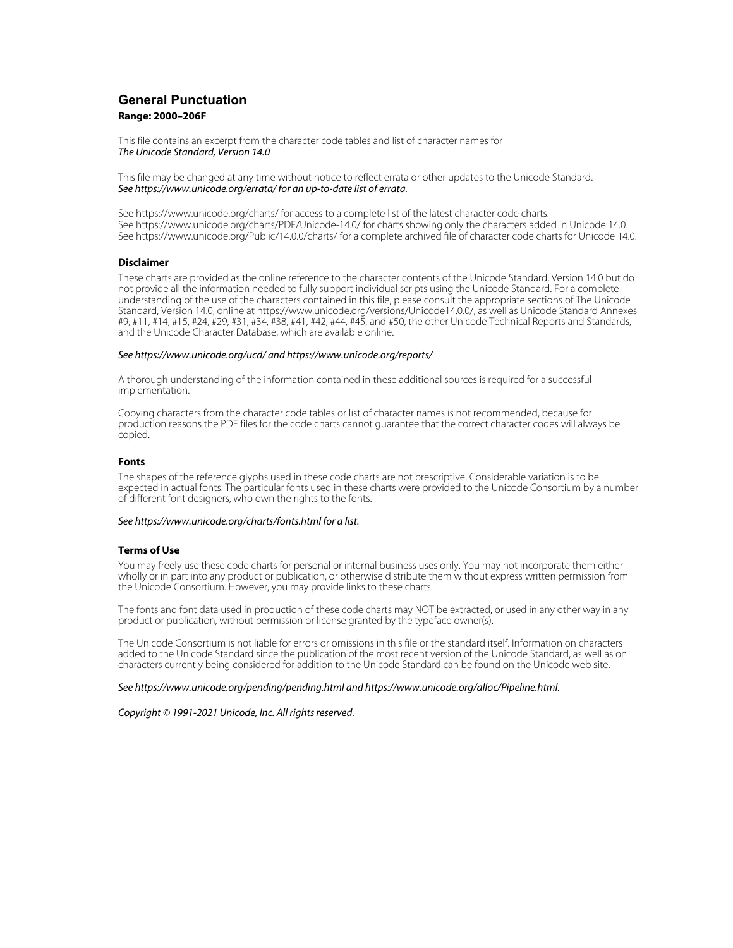# **General Punctuation Range: 2000–206F**

This file contains an excerpt from the character code tables and list of character names for The Unicode Standard, Version 14.0

This file may be changed at any time without notice to reflect errata or other updates to the Unicode Standard. See https://www.unicode.org/errata/ for an up-to-date list of errata.

See https://www.unicode.org/charts/ for access to a complete list of the latest character code charts. See https://www.unicode.org/charts/PDF/Unicode-14.0/ for charts showing only the characters added in Unicode 14.0. See https://www.unicode.org/Public/14.0.0/charts/ for a complete archived file of character code charts for Unicode 14.0.

## **Disclaimer**

These charts are provided as the online reference to the character contents of the Unicode Standard, Version 14.0 but do not provide all the information needed to fully support individual scripts using the Unicode Standard. For a complete understanding of the use of the characters contained in this file, please consult the appropriate sections of The Unicode Standard, Version 14.0, online at https://www.unicode.org/versions/Unicode14.0.0/, as well as Unicode Standard Annexes #9, #11, #14, #15, #24, #29, #31, #34, #38, #41, #42, #44, #45, and #50, the other Unicode Technical Reports and Standards, and the Unicode Character Database, which are available online.

### See https://www.unicode.org/ucd/ and https://www.unicode.org/reports/

A thorough understanding of the information contained in these additional sources is required for a successful implementation.

Copying characters from the character code tables or list of character names is not recommended, because for production reasons the PDF files for the code charts cannot guarantee that the correct character codes will always be copied.

### **Fonts**

The shapes of the reference glyphs used in these code charts are not prescriptive. Considerable variation is to be expected in actual fonts. The particular fonts used in these charts were provided to the Unicode Consortium by a number of different font designers, who own the rights to the fonts.

### See https://www.unicode.org/charts/fonts.html for a list.

## **Terms of Use**

You may freely use these code charts for personal or internal business uses only. You may not incorporate them either wholly or in part into any product or publication, or otherwise distribute them without express written permission from the Unicode Consortium. However, you may provide links to these charts.

The fonts and font data used in production of these code charts may NOT be extracted, or used in any other way in any product or publication, without permission or license granted by the typeface owner(s).

The Unicode Consortium is not liable for errors or omissions in this file or the standard itself. Information on characters added to the Unicode Standard since the publication of the most recent version of the Unicode Standard, as well as on characters currently being considered for addition to the Unicode Standard can be found on the Unicode web site.

#### See https://www.unicode.org/pending/pending.html and https://www.unicode.org/alloc/Pipeline.html.

Copyright © 1991-2021 Unicode, Inc. All rights reserved.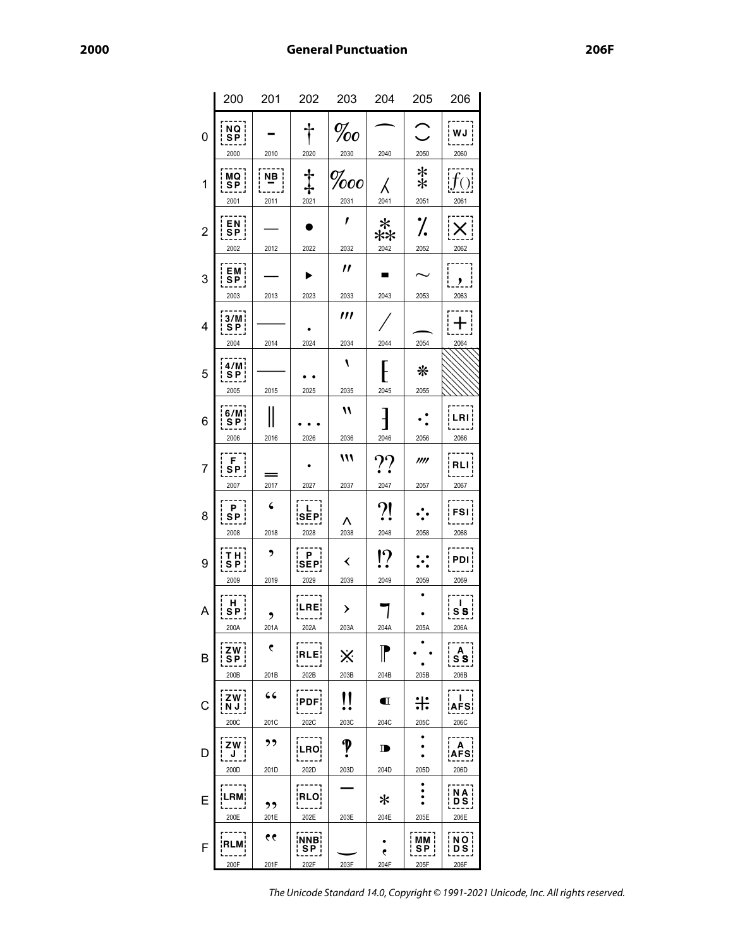|                | 200                                               | 201        | 202                                          | 203           | 204                    | 205                      | 206                                |
|----------------|---------------------------------------------------|------------|----------------------------------------------|---------------|------------------------|--------------------------|------------------------------------|
| 0              | $\begin{array}{c}\nNQ \\ SP\n\end{array}$<br>2000 | 2010       | 2020                                         | $\%o$<br>2030 | 2040                   | 2050                     | WJ<br>2060                         |
| 1              | МQ<br>$S\bar{P}$<br>2001                          | NB<br>2011 | 2021                                         | 000<br>2031   | 2041                   | $\ast$<br>$\ast$<br>2051 | 2061                               |
| $\overline{2}$ | EN <sup>1</sup><br>SP <sub>1</sub><br>2002        | 2012       | 2022                                         | 1<br>2032     | $\ast$<br>∗*<br>2042   | 7.<br>2052               | 2062                               |
| 3              | EM¦<br>SP¦<br>2003                                | 2013       | 2023                                         | "<br>2033     | 2043                   | 2053                     | ,<br>2063                          |
| 4              | 3/M<br>$S_{P}$<br>2004                            | 2014       | 2024                                         | ‴<br>2034     | 2044                   | 2054                     | 2064                               |
| 5              | 4/M<br><u>SP¦</u><br>2005                         | 2015       | 2025                                         | ١<br>2035     | 2045                   | ⋇<br>2055                |                                    |
| 6              | 6/M<br>SP <sub>1</sub><br>2006                    | 2016       | 2026                                         | 11<br>2036    | 2046                   | 2056                     | LRI<br>2066                        |
| 7              | F<br>SP¦<br>2007                                  | 2017       | 2027                                         | 111<br>2037   | $\gamma\gamma$<br>2047 | m<br>2057                | RI<br>2067                         |
| 8              | P.<br>SP i<br>2008                                | 6<br>2018  | L<br>SĒP¦<br>2028                            | Λ<br>2038     | ?!<br>2048             | 2058                     | <b>FSI</b><br>2068                 |
| 9              | т н ¦<br>S P<br>2009                              | ,<br>2019  | P<br><b>SEP¦</b><br>2029                     | ≺<br>2039     | $\overline{?}$<br>2049 | 2059                     | PDI l<br>2069                      |
| Α              | н<br>SP i<br>200A                                 | ,<br>201A  | ¦LRE¦<br>202A                                | ≻<br>203A     | 204A                   | $205A$                   | Ι.<br>S S<br>206A                  |
| в              | ZW i<br>$\overline{\text{SP}}$<br>200B            | C<br>201B  | ¡RLE¦<br>202B                                | ※<br>203B     | 204B                   | 205B                     | A<br><u>s s j</u><br>206B          |
| C              | ZW i<br><u>  הָהָ</u><br>200C                     | 66<br>201C | PDF¦<br>202C                                 | 11<br>203C    | $\blacksquare$<br>204C | ╬<br>205C                | .<br>ا<br><b>AFS</b><br>206C       |
| D              | ZW  <br>J<br>200D                                 | ,,<br>201D | <b>LRO¦</b><br>202D                          | 203D          | D<br>204D              | ٠<br>205D                | $\mathbf{A}$<br><b>AFS</b><br>206D |
| E              | ---;<br><b>LRM;</b><br>200E                       | ,,<br>201E | . - - - - <sub>7</sub><br><b>RLO</b><br>202E | 203E          | ∗<br>204E              | ۰<br>205E                | NA I<br><b>DS</b><br>206E          |
| F              | RLM¦<br>200F                                      | 66<br>201F | ¦NNB¦<br>SP <sub>1</sub><br>202F             | 203F          | ۴<br>204F              | MM ¦<br>  SP  <br>205F   | $\overline{NO}$<br>: D S i<br>206F |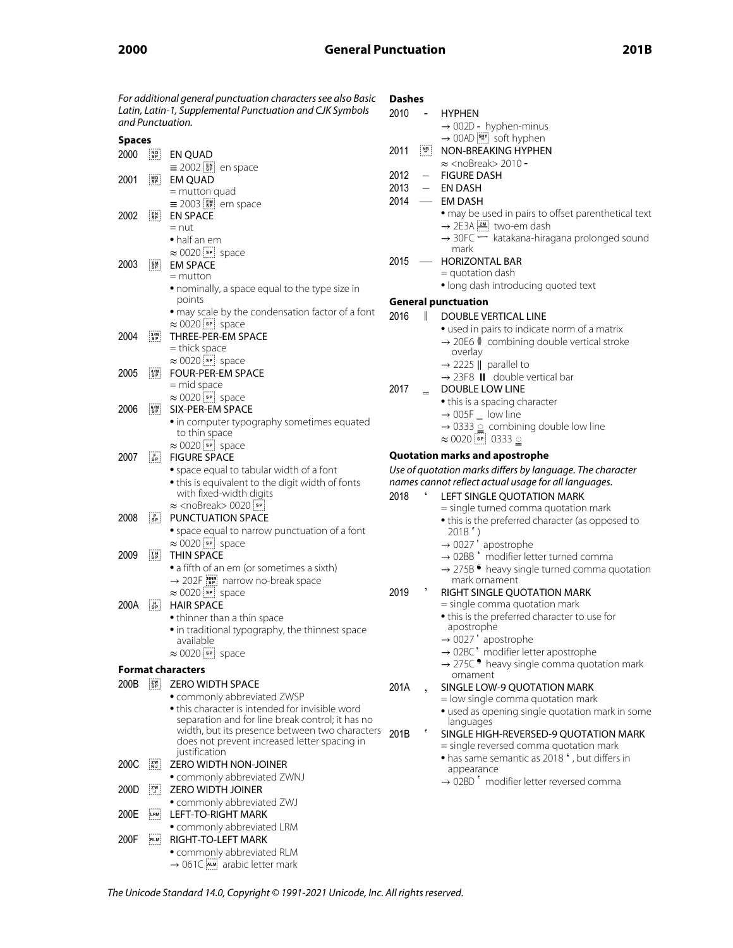| For additional general punctuation characters see also Basic |                                                                          |                                                                                                    | Dashes |                                                                                            |                                                                                               |
|--------------------------------------------------------------|--------------------------------------------------------------------------|----------------------------------------------------------------------------------------------------|--------|--------------------------------------------------------------------------------------------|-----------------------------------------------------------------------------------------------|
|                                                              |                                                                          | Latin, Latin-1, Supplemental Punctuation and CJK Symbols                                           | 2010   | $\overline{\phantom{m}}$                                                                   | <b>HYPHEN</b>                                                                                 |
|                                                              |                                                                          | and Punctuation.                                                                                   |        |                                                                                            | $\rightarrow$ 002D - hyphen-minus                                                             |
| <b>Spaces</b>                                                |                                                                          |                                                                                                    |        |                                                                                            | $\rightarrow$ 00AD $\boxed{\frac{\sin n}{n}}$ soft hyphen                                     |
| 2000                                                         | $\begin{bmatrix} \texttt{NG} \\ \texttt{SP} \end{bmatrix}$               | EN QUAD                                                                                            | 2011   | $\begin{bmatrix} \overline{N} & \overline{B} \\ \overline{C} & \overline{C} \end{bmatrix}$ | NON-BREAKING HYPHEN                                                                           |
|                                                              |                                                                          | $\equiv$ 2002 $\left[\frac{5}{5}\right]$ en space                                                  |        |                                                                                            | $\approx$ <nobreak> 2010 -</nobreak>                                                          |
| 2001                                                         | $\frac{100}{3}$                                                          | <b>EM QUAD</b>                                                                                     | 2012   | $\overline{\phantom{0}}$                                                                   | <b>FIGURE DASH</b>                                                                            |
|                                                              |                                                                          | $=$ mutton quad                                                                                    | 2013   |                                                                                            | <b>EN DASH</b>                                                                                |
|                                                              |                                                                          | $\equiv$ 2003 $\left[\frac{1}{5}\right]$ em space                                                  | 2014   | $\overline{\phantom{0}}$                                                                   | <b>EM DASH</b>                                                                                |
| 2002                                                         | $\frac{EN}{SP}$                                                          | <b>EN SPACE</b>                                                                                    |        |                                                                                            | · may be used in pairs to offset parenthetical text                                           |
|                                                              |                                                                          | $=$ nut<br>• half an em                                                                            |        |                                                                                            | → 2E3A [2M] two-em dash<br>$\rightarrow$ 30FC $\rightarrow$ katakana-hiragana prolonged sound |
|                                                              |                                                                          | $\approx 0020$ space                                                                               |        |                                                                                            | mark                                                                                          |
| 2003                                                         | $\mathsf{E}\mathsf{M} \atop \mathsf{SP}$                                 | <b>EM SPACE</b>                                                                                    | 2015   |                                                                                            | - HORIZONTAL BAR                                                                              |
|                                                              |                                                                          | $=$ mutton                                                                                         |        |                                                                                            | $=$ quotation dash                                                                            |
|                                                              |                                                                          | • nominally, a space equal to the type size in                                                     |        |                                                                                            | · long dash introducing quoted text                                                           |
|                                                              |                                                                          | points                                                                                             |        |                                                                                            | <b>General punctuation</b>                                                                    |
|                                                              |                                                                          | • may scale by the condensation factor of a font                                                   | 2016   | Ш.                                                                                         | <b>DOUBLE VERTICAL LINE</b>                                                                   |
|                                                              |                                                                          | $\approx 0020$ space                                                                               |        |                                                                                            | • used in pairs to indicate norm of a matrix                                                  |
| 2004                                                         | $\frac{3}{5}$                                                            | THREE-PER-EM SPACE                                                                                 |        |                                                                                            | $\rightarrow$ 20E6 $\oint$ combining double vertical stroke                                   |
|                                                              |                                                                          | = thick space                                                                                      |        |                                                                                            | overlay                                                                                       |
|                                                              |                                                                          | $\approx 0020$ space                                                                               |        |                                                                                            | $\rightarrow$ 2225    parallel to                                                             |
| 2005                                                         | $\frac{4/M}{SP}$                                                         | FOUR-PER-EM SPACE<br>$=$ mid space                                                                 |        |                                                                                            | $\rightarrow$ 23F8 II double vertical bar                                                     |
|                                                              |                                                                          | $\approx 0020$ space                                                                               | 2017   |                                                                                            | <b>DOUBLE LOW LINE</b>                                                                        |
| 2006                                                         | $6/M$<br>$S.P$                                                           | SIX-PER-EM SPACE                                                                                   |        |                                                                                            | • this is a spacing character                                                                 |
|                                                              |                                                                          | • in computer typography sometimes equated                                                         |        |                                                                                            | $\rightarrow$ 005F $\_$ low line                                                              |
|                                                              |                                                                          | to thin space                                                                                      |        |                                                                                            | $\rightarrow$ 0333 $\circ$ combining double low line                                          |
|                                                              |                                                                          | $\approx 0020$ space                                                                               |        |                                                                                            | $\approx 0020$ $\boxed{\phantom{0}8P}$ 0333 $\boxed{\phantom{0}}$                             |
| 2007                                                         | $\begin{bmatrix} F \\ SP \end{bmatrix}$                                  | <b>FIGURE SPACE</b>                                                                                |        |                                                                                            | <b>Quotation marks and apostrophe</b>                                                         |
|                                                              |                                                                          | • space equal to tabular width of a font                                                           |        |                                                                                            | Use of quotation marks differs by language. The character                                     |
|                                                              |                                                                          | • this is equivalent to the digit width of fonts                                                   |        |                                                                                            | names cannot reflect actual usage for all languages.                                          |
|                                                              |                                                                          | with fixed-width digits                                                                            | 2018   |                                                                                            | LEFT SINGLE QUOTATION MARK                                                                    |
| 2008                                                         | $ S_P $                                                                  | $\approx$ <nobreak> 0020<math>\frac{1}{2}</math><br/>PUNCTUATION SPACE</nobreak>                   |        |                                                                                            | = single turned comma quotation mark                                                          |
|                                                              |                                                                          | • space equal to narrow punctuation of a font                                                      |        |                                                                                            | • this is the preferred character (as opposed to                                              |
|                                                              |                                                                          | $\approx 0020$ space                                                                               |        |                                                                                            | $201B^{\dagger})$<br>$\rightarrow$ 0027 $'$ apostrophe                                        |
| 2009                                                         | $\begin{bmatrix} 1 & 1 \\ 5 & 1 \end{bmatrix}$                           | <b>THIN SPACE</b>                                                                                  |        |                                                                                            | $\rightarrow$ 02BB $\dot{ }$ modifier letter turned comma                                     |
|                                                              |                                                                          | • a fifth of an em (or sometimes a sixth)                                                          |        |                                                                                            | $\rightarrow$ 275B $\bullet$ heavy single turned comma quotation                              |
|                                                              |                                                                          | $\rightarrow$ 202F $\frac{1}{2}$ arrow no-break space                                              |        |                                                                                            | mark ornament                                                                                 |
|                                                              |                                                                          | $\approx 0020$ space                                                                               | 2019   | ,                                                                                          | RIGHT SINGLE QUOTATION MARK                                                                   |
| 200A                                                         | $\frac{H}{SP}$                                                           | <b>HAIR SPACE</b>                                                                                  |        |                                                                                            | = single comma quotation mark                                                                 |
|                                                              |                                                                          | • thinner than a thin space                                                                        |        |                                                                                            | • this is the preferred character to use for                                                  |
|                                                              |                                                                          | • in traditional typography, the thinnest space                                                    |        |                                                                                            | apostrophe                                                                                    |
|                                                              |                                                                          | available                                                                                          |        |                                                                                            | $\rightarrow$ 0027' apostrophe<br>$\rightarrow$ 02BC' modifier letter apostrophe              |
|                                                              |                                                                          | $\approx 0020$ space                                                                               |        |                                                                                            | $\rightarrow$ 275C $\bullet$ heavy single comma quotation mark                                |
|                                                              |                                                                          | <b>Format characters</b>                                                                           |        |                                                                                            | ornament                                                                                      |
| 200B                                                         | $\left[\begin{array}{c}\n\mathbf{ZW} \\ \mathbf{SP}\n\end{array}\right]$ | <b>ZERO WIDTH SPACE</b>                                                                            | 201A   |                                                                                            | SINGLE LOW-9 QUOTATION MARK                                                                   |
|                                                              |                                                                          | • commonly abbreviated ZWSP                                                                        |        |                                                                                            | = low single comma quotation mark                                                             |
|                                                              |                                                                          | • this character is intended for invisible word                                                    |        |                                                                                            | · used as opening single quotation mark in some                                               |
|                                                              |                                                                          | separation and for line break control; it has no<br>width, but its presence between two characters |        |                                                                                            | languages                                                                                     |
|                                                              |                                                                          | does not prevent increased letter spacing in                                                       | 201B   |                                                                                            | SINGLE HIGH-REVERSED-9 QUOTATION MARK                                                         |
|                                                              |                                                                          | justification                                                                                      |        |                                                                                            | = single reversed comma quotation mark<br>• has same semantic as 2018 ', but differs in       |
| 200C                                                         | $\frac{ZW}{N}$                                                           | <b>ZERO WIDTH NON-JOINER</b>                                                                       |        |                                                                                            | appearance                                                                                    |
|                                                              |                                                                          | • commonly abbreviated ZWNJ                                                                        |        |                                                                                            | $\rightarrow$ 02BD $\dot{\ }$ modifier letter reversed comma                                  |
| 200D                                                         | $\begin{bmatrix} zw \\ y \end{bmatrix}$                                  | <b>ZERO WIDTH JOINER</b>                                                                           |        |                                                                                            |                                                                                               |
|                                                              |                                                                          |                                                                                                    |        |                                                                                            |                                                                                               |
|                                                              |                                                                          | • commonly abbreviated ZWJ                                                                         |        |                                                                                            |                                                                                               |
| 200E                                                         | LRM:                                                                     | LEFT-TO-RIGHT MARK                                                                                 |        |                                                                                            |                                                                                               |
|                                                              |                                                                          | • commonly abbreviated LRM                                                                         |        |                                                                                            |                                                                                               |
| 200F                                                         | RLM                                                                      | RIGHT-TO-LEFT MARK                                                                                 |        |                                                                                            |                                                                                               |
|                                                              |                                                                          | • commonly abbreviated RLM<br>$\rightarrow$ 061C ALM arabic letter mark                            |        |                                                                                            |                                                                                               |

The Unicode Standard 14.0, Copyright © 1991-2021 Unicode, Inc. All rights reserved.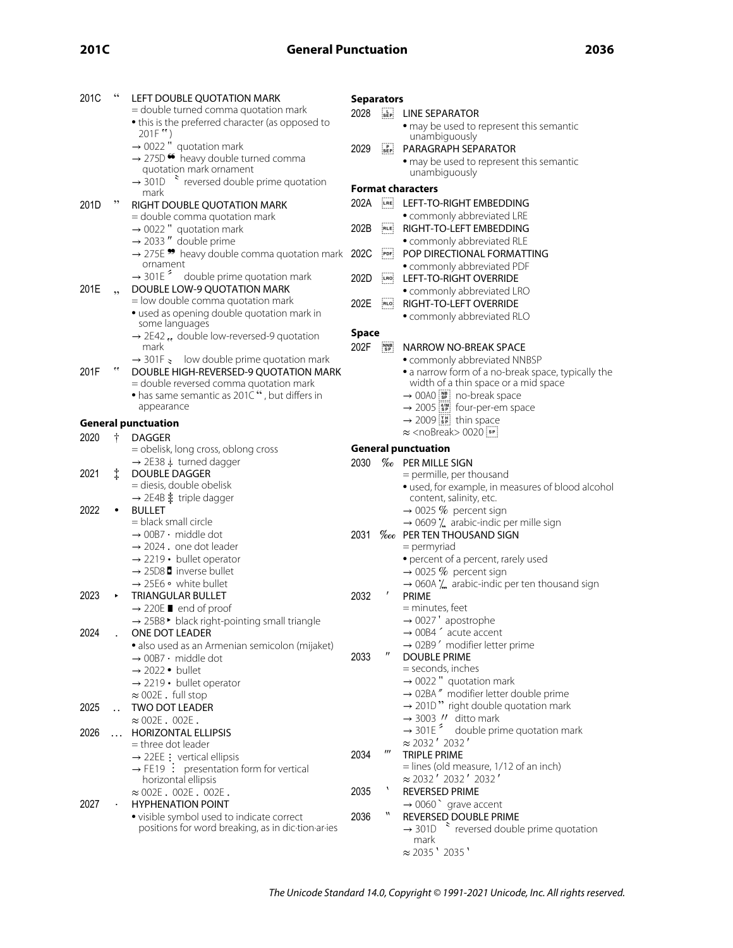| $\sim$ |  | . .<br>$\sim$ |
|--------|--|---------------|
|--------|--|---------------|

| 201C | 66                   | LEFT DOUBLE QUOTATION MARK                                                                                | <b>Separators</b> |                         |                                                                                                     |  |
|------|----------------------|-----------------------------------------------------------------------------------------------------------|-------------------|-------------------------|-----------------------------------------------------------------------------------------------------|--|
|      |                      | = double turned comma quotation mark                                                                      | 2028              | $s_{EP}$                | LINE SEPARATOR                                                                                      |  |
|      |                      | • this is the preferred character (as opposed to                                                          |                   |                         | • may be used to represent this semantic                                                            |  |
|      |                      | $201F$ "                                                                                                  |                   |                         | unambiguously                                                                                       |  |
|      |                      | $\rightarrow$ 0022 " quotation mark                                                                       | 2029              | $s_{EP}$                | PARAGRAPH SEPARATOR                                                                                 |  |
|      |                      | $\rightarrow$ 275D $\bullet$ heavy double turned comma<br>quotation mark ornament                         |                   |                         | · may be used to represent this semantic                                                            |  |
|      |                      | $\rightarrow$ 301D $\rightarrow$ reversed double prime quotation                                          |                   |                         | unambiguously                                                                                       |  |
|      |                      | mark                                                                                                      |                   |                         | <b>Format characters</b>                                                                            |  |
| 201D | ,,                   | RIGHT DOUBLE QUOTATION MARK                                                                               | 202A              | LRE                     | LEFT-TO-RIGHT EMBEDDING                                                                             |  |
|      |                      | = double comma quotation mark                                                                             |                   |                         | · commonly abbreviated LRE                                                                          |  |
|      |                      | $\rightarrow$ 0022 " quotation mark                                                                       | 202B              | RLE                     | RIGHT-TO-LEFT EMBEDDING                                                                             |  |
|      |                      | $\rightarrow$ 2033" double prime                                                                          |                   |                         | • commonly abbreviated RLE                                                                          |  |
|      |                      | $\rightarrow$ 275E $\rightarrow$ heavy double comma quotation mark<br>ornament                            | 202C              | [PDF]                   | POP DIRECTIONAL FORMATTING                                                                          |  |
|      |                      | $\rightarrow$ 301E <sup>2</sup> double prime quotation mark                                               | 202D              |                         | · commonly abbreviated PDF<br>LEFT-TO-RIGHT OVERRIDE                                                |  |
| 201E | ,                    | DOUBLE LOW-9 QUOTATION MARK                                                                               |                   | LRO                     |                                                                                                     |  |
|      |                      | = low double comma quotation mark                                                                         | 202E              | RLO                     | • commonly abbreviated LRO<br>RIGHT-TO-LEFT OVERRIDE                                                |  |
|      |                      | · used as opening double quotation mark in                                                                |                   |                         | • commonly abbreviated RLO                                                                          |  |
|      |                      | some languages                                                                                            |                   |                         |                                                                                                     |  |
|      |                      | $\rightarrow$ 2E42  double low-reversed-9 quotation                                                       | <b>Space</b>      |                         |                                                                                                     |  |
|      |                      | mark                                                                                                      | 202F              | NNB<br>SP               | NARROW NO-BREAK SPACE                                                                               |  |
| 201F | $\epsilon$           | $\rightarrow$ 301F $\rightarrow$ low double prime quotation mark<br>DOUBLE HIGH-REVERSED-9 QUOTATION MARK |                   |                         | · commonly abbreviated NNBSP                                                                        |  |
|      |                      | = double reversed comma quotation mark                                                                    |                   |                         | • a narrow form of a no-break space, typically the<br>width of a thin space or a mid space          |  |
|      |                      | • has same semantic as 201C", but differs in                                                              |                   |                         | $\rightarrow$ 00A0 $\boxed{\phantom{a}\phantom{a}\phantom{a}\phantom{a}\phantom{a}}$ no-break space |  |
|      |                      | appearance                                                                                                |                   |                         | $\rightarrow$ 2005 $\left[\frac{4}{5}\right]$ four-per-em space                                     |  |
|      |                      | <b>General punctuation</b>                                                                                |                   |                         | $\rightarrow$ 2009 $\boxed{\phantom{0}5}$ thin space                                                |  |
| 2020 | ŧ                    | <b>DAGGER</b>                                                                                             |                   |                         | $\approx$ <nobreak> 0020<math>\overline{\left[ s\right] }</math></nobreak>                          |  |
|      |                      | = obelisk, long cross, oblong cross                                                                       |                   |                         | <b>General punctuation</b>                                                                          |  |
|      |                      | $\rightarrow$ 2E38 $\ddagger$ turned dagger                                                               | 2030              |                         | <b>% PER MILLE SIGN</b>                                                                             |  |
| 2021 | $\ddagger$           | <b>DOUBLE DAGGER</b>                                                                                      |                   |                         | = permille, per thousand                                                                            |  |
|      |                      | = diesis, double obelisk                                                                                  |                   |                         | · used, for example, in measures of blood alcohol                                                   |  |
|      |                      | $\rightarrow$ 2E4B $\ddagger$ triple dagger                                                               |                   |                         | content, salinity, etc.                                                                             |  |
| 2022 |                      | <b>BULLET</b><br>= black small circle                                                                     |                   |                         | $\rightarrow$ 0025 % percent sign                                                                   |  |
|      |                      | $\rightarrow$ 00B7 $\cdot$ middle dot                                                                     | 2031              |                         | $\rightarrow$ 0609 $\lambda$ arabic-indic per mille sign<br><b>Woo</b> PER TEN THOUSAND SIGN        |  |
|      |                      | $\rightarrow$ 2024 e one dot leader                                                                       |                   |                         | $=$ permyriad                                                                                       |  |
|      |                      | $\rightarrow$ 2219 • bullet operator                                                                      |                   |                         | • percent of a percent, rarely used                                                                 |  |
|      |                      | $\rightarrow$ 25D8 <b>b</b> inverse bullet                                                                |                   |                         | $\rightarrow$ 0025 % percent sign                                                                   |  |
|      |                      | $\rightarrow$ 25E6 $\circ$ white bullet                                                                   |                   |                         |                                                                                                     |  |
| 2023 |                      | TRIANGULAR BULLET                                                                                         |                   |                         |                                                                                                     |  |
|      |                      |                                                                                                           | 2032              | $\prime$                | $\rightarrow$ 060A $\overline{\phantom{a}}$ arabic-indic per ten thousand sign<br>PRIME             |  |
|      |                      | $\rightarrow$ 220E <b>I</b> end of proof                                                                  |                   |                         | = minutes, feet                                                                                     |  |
|      |                      | → 25B8 • black right-pointing small triangle                                                              |                   |                         | $\rightarrow$ 0027' apostrophe                                                                      |  |
| 2024 |                      | ONE DOT LEADER                                                                                            |                   |                         | $\rightarrow$ 00B4 $\hat{}$ acute accent                                                            |  |
|      |                      | · also used as an Armenian semicolon (mijaket)                                                            |                   |                         | $\rightarrow$ 02B9 $'$ modifier letter prime                                                        |  |
|      |                      | $\rightarrow$ 00B7 $\cdot$ middle dot                                                                     | 2033              | $^{\prime\prime}$       | <b>DOUBLE PRIME</b>                                                                                 |  |
|      |                      | $\rightarrow$ 2022 • bullet                                                                               |                   |                         | = seconds, inches                                                                                   |  |
|      |                      | $\rightarrow$ 2219 • bullet operator                                                                      |                   |                         | $\rightarrow$ 0022 " quotation mark                                                                 |  |
|      |                      | $\approx$ 002E. full stop                                                                                 |                   |                         | → 02BA" modifier letter double prime                                                                |  |
| 2025 | $\ddot{\phantom{a}}$ | TWO DOT LEADER                                                                                            |                   |                         | $\rightarrow$ 201D" right double quotation mark<br>$\rightarrow$ 3003 $\prime\prime$ ditto mark     |  |
| 2026 |                      | $\approx$ 002E . 002E .<br><b>HORIZONTAL ELLIPSIS</b>                                                     |                   |                         | $\rightarrow$ 301E <sup><math>\approx</math></sup><br>double prime quotation mark                   |  |
|      |                      | = three dot leader                                                                                        |                   |                         | $\approx$ 2032 $'$ 2032 $'$                                                                         |  |
|      |                      | $\rightarrow$ 22EE : vertical ellipsis                                                                    | 2034              | $^{\prime\prime\prime}$ | <b>TRIPLE PRIME</b>                                                                                 |  |
|      |                      | $\rightarrow$ FE19 : presentation form for vertical                                                       |                   |                         | = lines (old measure, 1/12 of an inch)                                                              |  |
|      |                      | horizontal ellipsis                                                                                       |                   |                         | $\approx$ 2032' 2032' 2032'                                                                         |  |
|      |                      | $\approx$ 002E. 002E. 002E.                                                                               | 2035              | $\mathbf{I}$            | <b>REVERSED PRIME</b>                                                                               |  |
| 2027 |                      | <b>HYPHENATION POINT</b>                                                                                  |                   | 11                      | $\rightarrow$ 0060 $\degree$ grave accent                                                           |  |
|      |                      | • visible symbol used to indicate correct                                                                 | 2036              |                         | REVERSED DOUBLE PRIME                                                                               |  |
|      |                      | positions for word breaking, as in dic-tion-ar-ies                                                        |                   |                         | $\rightarrow$ 301D $\rightarrow$ reversed double prime quotation<br>mark                            |  |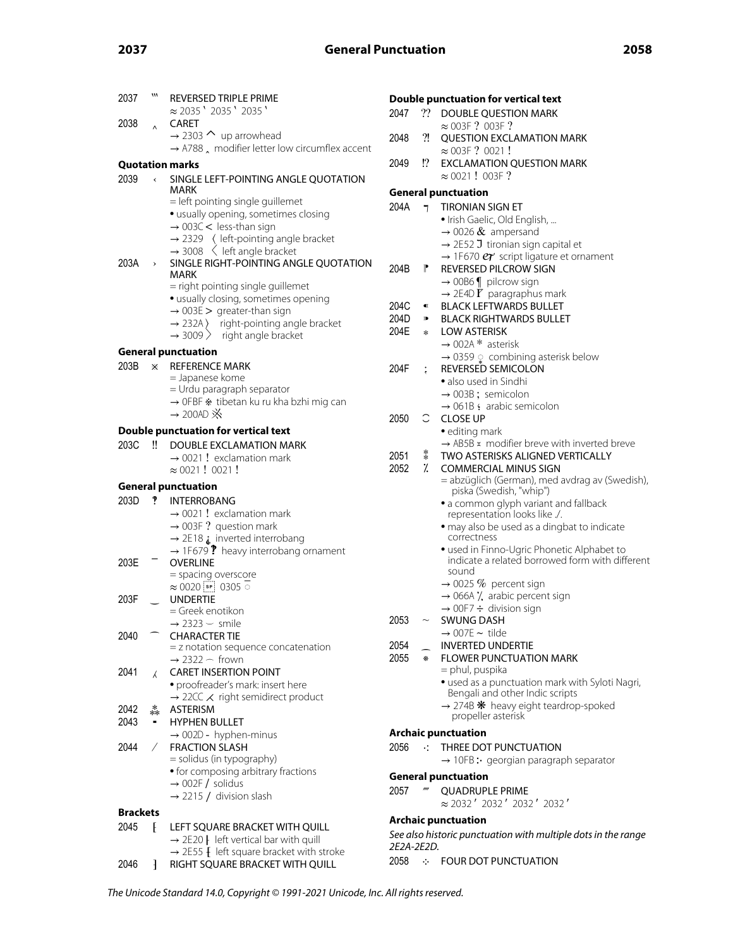| 2037            | M                        | <b>REVERSED TRIPLE PRIME</b>                                                                                 | Doubl        |
|-----------------|--------------------------|--------------------------------------------------------------------------------------------------------------|--------------|
| 2038            |                          | $\approx$ 2035 $'$ 2035 $'$ 2035 $'$<br><b>CARET</b>                                                         | 2047         |
|                 | $\lambda$                | $\rightarrow$ 2303 $\sim$ up arrowhead                                                                       | 2048         |
|                 |                          | $\rightarrow$ A788 $\lambda$ modifier letter low circumflex accent                                           |              |
|                 |                          | <b>Quotation marks</b>                                                                                       | 2049         |
| 2039            | $\overline{\phantom{a}}$ | SINGLE LEFT-POINTING ANGLE QUOTATION                                                                         |              |
|                 |                          | MARK<br>= left pointing single guillemet                                                                     | Gener        |
|                 |                          | · usually opening, sometimes closing                                                                         | 204A         |
|                 |                          | $\rightarrow$ 003C < less-than sign                                                                          |              |
|                 |                          | $\rightarrow$ 2329 ( left-pointing angle bracket<br>$\rightarrow$ 3008 $\leq$ left angle bracket             |              |
| 203A            | $\!\!$                   | SINGLE RIGHT-POINTING ANGLE QUOTATION<br>MARK                                                                | 204B         |
|                 |                          | = right pointing single guillemet                                                                            |              |
|                 |                          | · usually closing, sometimes opening                                                                         | 204C         |
|                 |                          | $\rightarrow$ 003E > greater-than sign                                                                       | 204D         |
|                 |                          | $\rightarrow$ 232A) right-pointing angle bracket<br>$\rightarrow$ 3009 > right angle bracket                 | 204E         |
|                 |                          | <b>General punctuation</b>                                                                                   |              |
| 203B            | X.                       | <b>REFERENCE MARK</b>                                                                                        | 204F         |
|                 |                          | = Japanese kome                                                                                              |              |
|                 |                          | = Urdu paragraph separator<br>→ OFBF * tibetan ku ru kha bzhi mig can                                        |              |
|                 |                          | $\rightarrow$ 200AD $\cancel{\aleph}$                                                                        | 2050         |
|                 |                          | <b>Double punctuation for vertical text</b>                                                                  |              |
| 203C            | Ħ                        | <b>DOUBLE EXCLAMATION MARK</b>                                                                               |              |
|                 |                          | $\rightarrow$ 0021 ! exclamation mark                                                                        | 2051<br>2052 |
|                 |                          | $\approx 0021!0021!$                                                                                         |              |
| 203D            | P                        | <b>General punctuation</b><br><b>INTERROBANG</b>                                                             |              |
|                 |                          | $\rightarrow$ 0021 ! exclamation mark                                                                        |              |
|                 |                          | $\rightarrow$ 003F ? question mark                                                                           |              |
|                 |                          | $\rightarrow$ 2E18 $_{4}$ inverted interrobang                                                               |              |
| 203E            |                          | $\rightarrow$ 1F679 ? heavy interrobang ornament<br><b>OVERLINE</b>                                          |              |
|                 |                          | = spacing overscore                                                                                          |              |
|                 |                          | $\approx 0020$ [sp] 0305 $\circ$                                                                             |              |
| 203F            |                          | <b>UNDERTIE</b><br>= Greek enotikon                                                                          |              |
|                 |                          | $\rightarrow$ 2323 $-$ smile                                                                                 | 2053         |
| 2040            |                          | <b>CHARACTER TIE</b>                                                                                         | 2054         |
|                 |                          | $=$ z notation sequence concatenation<br>$\rightarrow$ 2322 $\frown$ frown                                   | 2055         |
| 2041            | λ                        | <b>CARET INSERTION POINT</b>                                                                                 |              |
|                 |                          | • proofreader's mark: insert here                                                                            |              |
|                 |                          | $\rightarrow$ 22CC $\swarrow$ right semidirect product                                                       |              |
| 2042<br>2043    | $\stackrel{*}{\ast}$     | <b>ASTERISM</b><br><b>HYPHEN BULLET</b>                                                                      |              |
|                 |                          | $\rightarrow$ 002D - hyphen-minus                                                                            | Archa        |
| 2044            | $\sqrt{2}$               | <b>FRACTION SLASH</b>                                                                                        | 2056         |
|                 |                          | = solidus (in typography)<br>• for composing arbitrary fractions                                             |              |
|                 |                          | $\rightarrow$ 002F / solidus                                                                                 | Gener        |
|                 |                          | $\rightarrow$ 2215 / division slash                                                                          | 2057         |
| <b>Brackets</b> |                          |                                                                                                              | Archa        |
| 2045            | Ł                        | LEFT SQUARE BRACKET WITH QUILL                                                                               | See als      |
|                 |                          | $\rightarrow$ 2E20   left vertical bar with quill<br>$\rightarrow$ 2E55 $\{$ left square bracket with stroke | 2E2A-2       |
| 2046            | ł                        | RIGHT SQUARE BRACKET WITH QUILL                                                                              | 2058         |
|                 |                          |                                                                                                              |              |

|            |                           | <b>Double punctuation for vertical text</b>                                                  |
|------------|---------------------------|----------------------------------------------------------------------------------------------|
| 2047       | ??                        | DOUBLE QUESTION MARK                                                                         |
|            | $\overline{\mathfrak{A}}$ | $\approx$ 003F ? 003F ?                                                                      |
| 2048       |                           | <b>QUESTION EXCLAMATION MARK</b><br>$\approx$ 003F? 0021!                                    |
| 2049       | !?                        | <b>EXCLAMATION QUESTION MARK</b>                                                             |
|            |                           | $\approx 0021!003F$ ?                                                                        |
|            |                           | <b>General punctuation</b>                                                                   |
| 204A       | 7                         | <b>TIRONIAN SIGN ET</b>                                                                      |
|            |                           | · Irish Gaelic, Old English,                                                                 |
|            |                           | $\rightarrow$ 0026 & ampersand                                                               |
|            |                           | $\rightarrow$ 2E52 J tironian sign capital et                                                |
|            |                           | $\rightarrow$ 1F670 $e\tau$ script ligature et ornament                                      |
| 204B       | Ľ                         | <b>REVERSED PILCROW SIGN</b>                                                                 |
|            |                           | $\rightarrow$ 00B6   pilcrow sign<br>$\rightarrow$ 2E4D <b>F</b> paragraphus mark            |
| 204C       | $\blacksquare$            | <b>BLACK LEFTWARDS BULLET</b>                                                                |
| 204D -     | $\blacksquare$            | <b>BLACK RIGHTWARDS BULLET</b>                                                               |
| 204E       | $\ast$                    | <b>LOW ASTERISK</b>                                                                          |
|            |                           | $\rightarrow$ 002A * asterisk                                                                |
|            |                           | → 0359 ្combining asterisk below                                                             |
| 204F       |                           | <b>REVERSED SEMICOLON</b>                                                                    |
|            |                           | • also used in Sindhi<br>$\rightarrow$ 003B; semicolon                                       |
|            |                           | $\rightarrow$ 061B: arabic semicolon                                                         |
| 2050       | C                         | <b>CLOSE UP</b>                                                                              |
|            |                           | · editing mark                                                                               |
|            |                           | $\rightarrow$ AB5B $\times$ modifier breve with inverted breve                               |
| 2051       | $\ddot{\hspace{1ex}}$     | TWO ASTERISKS ALIGNED VERTICALLY                                                             |
| 2052       | $\frac{1}{2}$             | <b>COMMERCIAL MINUS SIGN</b>                                                                 |
|            |                           | = abzüglich (German), med avdrag av (Swedish),<br>piska (Swedish, "whip")                    |
|            |                           | · a common glyph variant and fallback                                                        |
|            |                           | representation looks like ./.                                                                |
|            |                           | · may also be used as a dingbat to indicate<br>correctness                                   |
|            |                           | · used in Finno-Ugric Phonetic Alphabet to                                                   |
|            |                           | indicate a related borrowed form with different                                              |
|            |                           | sound                                                                                        |
|            |                           | $\rightarrow$ 0025 % percent sign                                                            |
|            |                           | $\rightarrow$ 066A $\prime$ , arabic percent sign<br>$\rightarrow$ 00F7 $\div$ division sign |
| 2053       |                           | SWUNG DASH                                                                                   |
|            |                           | $\rightarrow$ 007E $\sim$ tilde                                                              |
| 2054       |                           | NVERTED UNDERTIE                                                                             |
| 2055       | $\mathcal{R}$             | <b>FLOWER PUNCTUATION MARK</b>                                                               |
|            |                           | = phul, puspika                                                                              |
|            |                           | · used as a punctuation mark with Syloti Nagri,<br>Bengali and other Indic scripts           |
|            |                           | $\rightarrow$ 274B $*$ heavy eight teardrop-spoked                                           |
|            |                           | propeller asterisk                                                                           |
|            |                           | <b>Archaic punctuation</b>                                                                   |
| 2056       | $\sim 10$                 | THREE DOT PUNCTUATION                                                                        |
|            |                           | $\rightarrow$ 10FB: georgian paragraph separator                                             |
|            |                           | <b>General punctuation</b>                                                                   |
| 2057       | $\mathbf{m}$              | <b>QUADRUPLE PRIME</b>                                                                       |
|            |                           | ≈ 2032′ 2032′ 2032′ 2032′                                                                    |
|            |                           | <b>Archaic punctuation</b>                                                                   |
|            |                           | See also historic punctuation with multiple dots in the range                                |
| 2E2A-2E2D. |                           |                                                                                              |
|            |                           | 2058 :- FOUR DOT PUNCTUATION                                                                 |

The Unicode Standard 14.0, Copyright © 1991-2021 Unicode, Inc. All rights reserved.